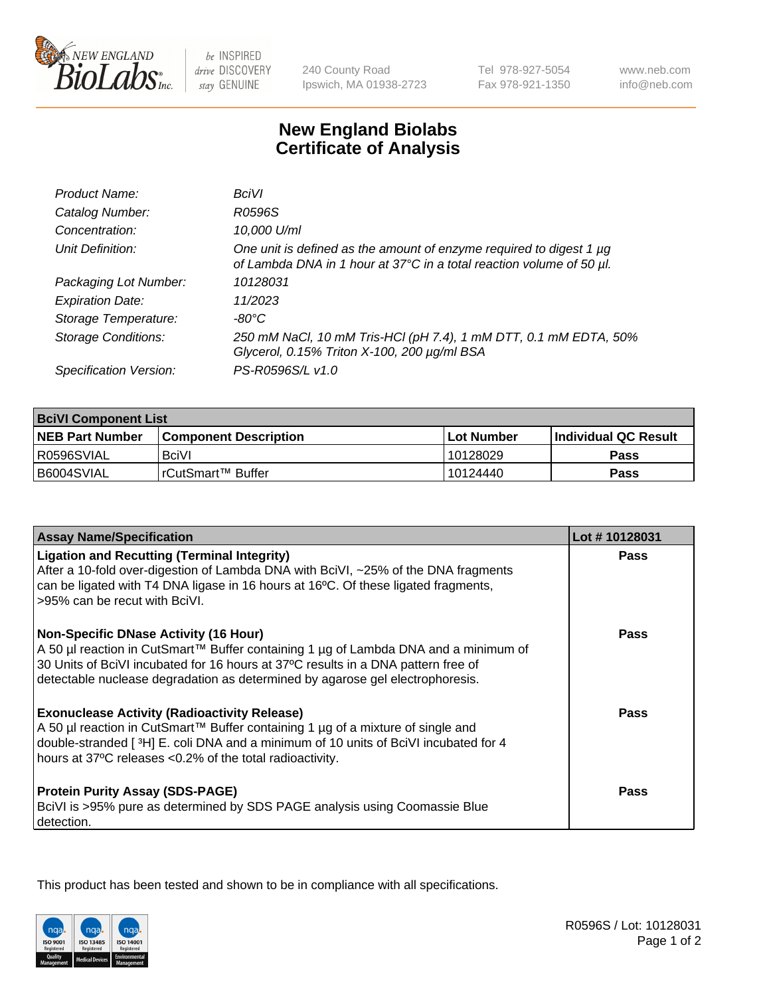

 $be$  INSPIRED drive DISCOVERY stay GENUINE

240 County Road Ipswich, MA 01938-2723 Tel 978-927-5054 Fax 978-921-1350 www.neb.com info@neb.com

## **New England Biolabs Certificate of Analysis**

| Product Name:              | <b>BciVI</b>                                                                                                                                |
|----------------------------|---------------------------------------------------------------------------------------------------------------------------------------------|
| Catalog Number:            | R0596S                                                                                                                                      |
| Concentration:             | 10,000 U/ml                                                                                                                                 |
| Unit Definition:           | One unit is defined as the amount of enzyme required to digest 1 µg<br>of Lambda DNA in 1 hour at 37°C in a total reaction volume of 50 µl. |
| Packaging Lot Number:      | 10128031                                                                                                                                    |
| <b>Expiration Date:</b>    | 11/2023                                                                                                                                     |
| Storage Temperature:       | -80°C                                                                                                                                       |
| <b>Storage Conditions:</b> | 250 mM NaCl, 10 mM Tris-HCl (pH 7.4), 1 mM DTT, 0.1 mM EDTA, 50%<br>Glycerol, 0.15% Triton X-100, 200 µg/ml BSA                             |
| Specification Version:     | PS-R0596S/L v1.0                                                                                                                            |

| <b>BciVI Component List</b> |                         |            |                             |  |
|-----------------------------|-------------------------|------------|-----------------------------|--|
| <b>NEB Part Number</b>      | l Component Description | Lot Number | <b>Individual QC Result</b> |  |
| R0596SVIAL                  | <b>BciVI</b>            | 10128029   | Pass                        |  |
| B6004SVIAL                  | l rCutSmart™ Buffer     | 10124440   | Pass                        |  |

| <b>Assay Name/Specification</b>                                                                                                                                                                                                                                                                      | Lot #10128031 |
|------------------------------------------------------------------------------------------------------------------------------------------------------------------------------------------------------------------------------------------------------------------------------------------------------|---------------|
| <b>Ligation and Recutting (Terminal Integrity)</b><br>After a 10-fold over-digestion of Lambda DNA with BciVI, ~25% of the DNA fragments<br>can be ligated with T4 DNA ligase in 16 hours at 16°C. Of these ligated fragments,<br>l >95% can be recut with BciVI.                                    | <b>Pass</b>   |
| Non-Specific DNase Activity (16 Hour)<br>  A 50 µl reaction in CutSmart™ Buffer containing 1 µg of Lambda DNA and a minimum of<br>30 Units of BciVI incubated for 16 hours at 37°C results in a DNA pattern free of<br>detectable nuclease degradation as determined by agarose gel electrophoresis. | <b>Pass</b>   |
| <b>Exonuclease Activity (Radioactivity Release)</b><br>A 50 µl reaction in CutSmart™ Buffer containing 1 µg of a mixture of single and<br>double-stranded [3H] E. coli DNA and a minimum of 10 units of BciVI incubated for 4<br>hours at 37°C releases <0.2% of the total radioactivity.            | <b>Pass</b>   |
| <b>Protein Purity Assay (SDS-PAGE)</b><br>BciVI is >95% pure as determined by SDS PAGE analysis using Coomassie Blue<br>detection.                                                                                                                                                                   | <b>Pass</b>   |

This product has been tested and shown to be in compliance with all specifications.